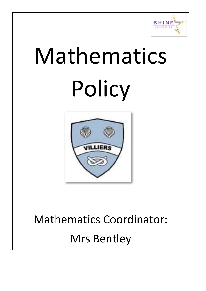

# Mathematics Policy



## Mathematics Coordinator: Mrs Bentley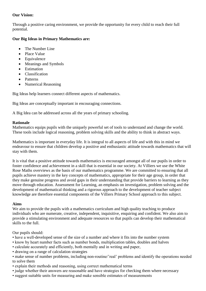### **Our Vision:**

Through a positive caring environment, we provide the opportunity for every child to reach their full potential.

### **Our Big Ideas in Primary Mathematics are:**

- The Number Line
- Place Value
- Equivalence
- Meanings and Symbols
- Estimation
- Classification
- Patterns
- Numerical Reasoning

Big Ideas help learners connect different aspects of mathematics.

Big Ideas are conceptually important in encouraging connections.

A Big Idea can be addressed across all the years of primary schooling.

#### **Rationale**

Mathematics equips pupils with the uniquely powerful set of tools to understand and change the world. These tools include logical reasoning, problem solving skills and the ability to think in abstract ways.

Mathematics is important in everyday life. It is integral to all aspects of life and with this in mind we endeavour to ensure that children develop a positive and enthusiastic attitude towards mathematics that will stay with them.

It is vital that a positive attitude towards mathematics is encouraged amongst all of our pupils in order to foster confidence and achievement in a skill that is essential in our society. At Villiers we use the White Rose Maths overviews as the basis of our mathematics programme. We are committed to ensuring that all pupils achieve mastery in the key concepts of mathematics, appropriate for their age group, in order that they make genuine progress and avoid gaps in their understanding that provide barriers to learning as they move through education. Assessment for Learning, an emphasis on investigation, problem solving and the development of mathematical thinking and a rigorous approach to the development of teacher subject knowledge are therefore essential components of the Villiers Primary School approach to this subject.

#### **Aims**

We aim to provide the pupils with a mathematics curriculum and high quality teaching to produce individuals who are numerate, creative, independent, inquisitive, enquiring and confident. We also aim to provide a stimulating environment and adequate resources so that pupils can develop their mathematical skills to the full.

Our pupils should:

- have a well-developed sense of the size of a number and where it fits into the number system
- know by heart number facts such as number bonds, multiplication tables, doubles and halves
- calculate accurately and efficiently, both mentally and in writing and paper,
- drawing on a range of calculation strategies
- make sense of number problems, including non-routine/'real' problems and identify the operations needed to solve them
- explain their methods and reasoning, using correct mathematical terms
- judge whether their answers are reasonable and have strategies for checking them where necessary
- suggest suitable units for measuring and make sensible estimates of measurements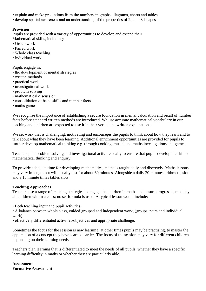- explain and make predictions from the numbers in graphs, diagrams, charts and tables
- develop spatial awareness and an understanding of the properties of 2d and 3dshapes

#### **Provision**

Pupils are provided with a variety of opportunities to develop and extend their Mathematical skills, including:

- Group work
- Paired work
- Whole class teaching
- Individual work

Pupils engage in:

- the development of mental strategies
- written methods
- practical work
- investigational work
- problem solving
- mathematical discussion
- consolidation of basic skills and number facts
- maths games

We recognise the importance of establishing a secure foundation in mental calculation and recall of number facts before standard written methods are introduced. We use accurate mathematical vocabulary in our teaching and children are expected to use it in their verbal and written explanations.

We set work that is challenging, motivating and encourages the pupils to think about how they learn and to talk about what they have been learning. Additional enrichment opportunities are provided for pupils to further develop mathematical thinking e.g. through cooking, music, and maths investigations and games.

Teachers plan problem solving and investigational activities daily to ensure that pupils develop the skills of mathematical thinking and enquiry.

To provide adequate time for developing mathematics, maths is taught daily and discretely. Maths lessons may vary in length but will usually last for about 60 minutes. Alongside a daily 20 minutes arithmetic slot and a 15 minute times tables slots.

#### **Teaching Approaches**

Teachers use a range of teaching strategies to engage the children in maths and ensure progress is made by all children within a class; no set formula is used. A typical lesson would include:

• Both teaching input and pupil activities,

• A balance between whole class, guided grouped and independent work, (groups, pairs and individual work)

• effectively differentiated activities/objectives and appropriate challenge.

Sometimes the focus for the session is new learning, at other times pupils may be practising, to master the application of a concept they have learned earlier. The focus of the session may vary for different children depending on their learning needs.

Teachers plan learning that is differentiated to meet the needs of all pupils, whether they have a specific learning difficulty in maths or whether they are particularly able.

**Assessment Formative Assessment**